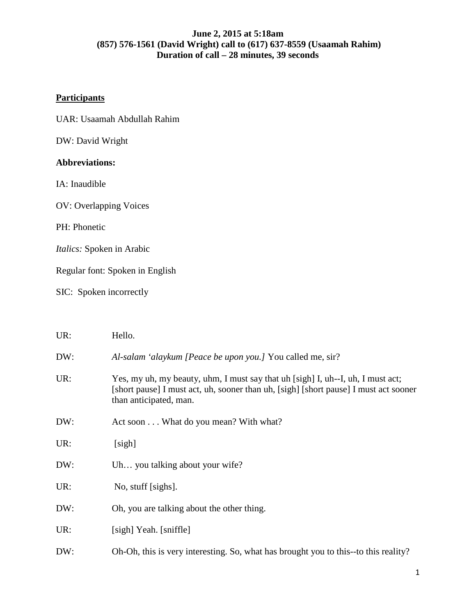# **Participants**

| UAR: Usaamah Abdullah Rahim |  |  |
|-----------------------------|--|--|
|-----------------------------|--|--|

DW: David Wright

# **Abbreviations:**

IA: Inaudible

OV: Overlapping Voices

PH: Phonetic

*Italics:* Spoken in Arabic

Regular font: Spoken in English

SIC: Spoken incorrectly

| UR: | Hello.                                                                                                                                                                                            |
|-----|---------------------------------------------------------------------------------------------------------------------------------------------------------------------------------------------------|
| DW: | Al-salam 'alaykum [Peace be upon you.] You called me, sir?                                                                                                                                        |
| UR: | Yes, my uh, my beauty, uhm, I must say that uh [sigh] I, uh--I, uh, I must act;<br>[short pause] I must act, uh, sooner than uh, [sigh] [short pause] I must act sooner<br>than anticipated, man. |
| DW: | Act soon What do you mean? With what?                                                                                                                                                             |
| UR: | [sigh]                                                                                                                                                                                            |
| DW: | Uh you talking about your wife?                                                                                                                                                                   |
| UR: | No, stuff [sighs].                                                                                                                                                                                |
| DW: | Oh, you are talking about the other thing.                                                                                                                                                        |
| UR: | [sigh] Yeah. [sniffle]                                                                                                                                                                            |
| DW: | Oh-Oh, this is very interesting. So, what has brought you to this--to this reality?                                                                                                               |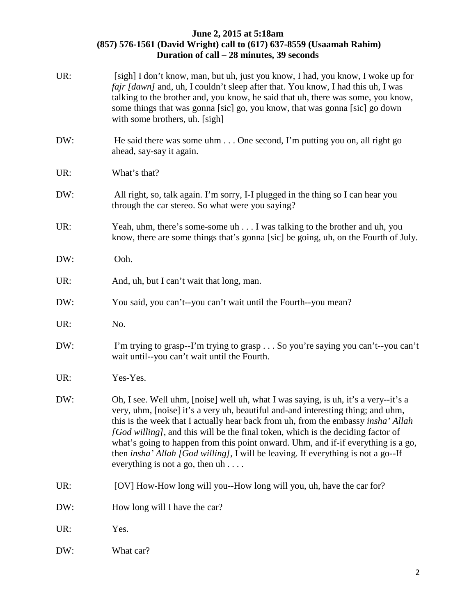| UR: | [sigh] I don't know, man, but uh, just you know, I had, you know, I woke up for<br><i>fajr [dawn]</i> and, uh, I couldn't sleep after that. You know, I had this uh, I was<br>talking to the brother and, you know, he said that uh, there was some, you know,<br>some things that was gonna [sic] go, you know, that was gonna [sic] go down<br>with some brothers, uh. [sigh]                                                                                                                                                                                                      |
|-----|--------------------------------------------------------------------------------------------------------------------------------------------------------------------------------------------------------------------------------------------------------------------------------------------------------------------------------------------------------------------------------------------------------------------------------------------------------------------------------------------------------------------------------------------------------------------------------------|
| DW: | He said there was some uhm One second, I'm putting you on, all right go<br>ahead, say-say it again.                                                                                                                                                                                                                                                                                                                                                                                                                                                                                  |
| UR: | What's that?                                                                                                                                                                                                                                                                                                                                                                                                                                                                                                                                                                         |
| DW: | All right, so, talk again. I'm sorry, I-I plugged in the thing so I can hear you<br>through the car stereo. So what were you saying?                                                                                                                                                                                                                                                                                                                                                                                                                                                 |
| UR: | Yeah, uhm, there's some-some uh I was talking to the brother and uh, you<br>know, there are some things that's gonna [sic] be going, uh, on the Fourth of July.                                                                                                                                                                                                                                                                                                                                                                                                                      |
| DW: | Ooh.                                                                                                                                                                                                                                                                                                                                                                                                                                                                                                                                                                                 |
| UR: | And, uh, but I can't wait that long, man.                                                                                                                                                                                                                                                                                                                                                                                                                                                                                                                                            |
| DW: | You said, you can't--you can't wait until the Fourth--you mean?                                                                                                                                                                                                                                                                                                                                                                                                                                                                                                                      |
| UR: | No.                                                                                                                                                                                                                                                                                                                                                                                                                                                                                                                                                                                  |
| DW: | I'm trying to grasp--I'm trying to grasp So you're saying you can't--you can't<br>wait until--you can't wait until the Fourth.                                                                                                                                                                                                                                                                                                                                                                                                                                                       |
| UR: | Yes-Yes.                                                                                                                                                                                                                                                                                                                                                                                                                                                                                                                                                                             |
| DW: | Oh, I see. Well uhm, [noise] well uh, what I was saying, is uh, it's a very--it's a<br>very, uhm, [noise] it's a very uh, beautiful and-and interesting thing; and uhm,<br>this is the week that I actually hear back from uh, from the embassy <i>insha' Allah</i><br>[God willing], and this will be the final token, which is the deciding factor of<br>what's going to happen from this point onward. Uhm, and if-if everything is a go,<br>then <i>insha' Allah [God willing]</i> , I will be leaving. If everything is not a go--If<br>everything is not a go, then $uh \dots$ |
| UR: | [OV] How-How long will you--How long will you, uh, have the car for?                                                                                                                                                                                                                                                                                                                                                                                                                                                                                                                 |
| DW: | How long will I have the car?                                                                                                                                                                                                                                                                                                                                                                                                                                                                                                                                                        |
| UR: | Yes.                                                                                                                                                                                                                                                                                                                                                                                                                                                                                                                                                                                 |
| DW: | What car?                                                                                                                                                                                                                                                                                                                                                                                                                                                                                                                                                                            |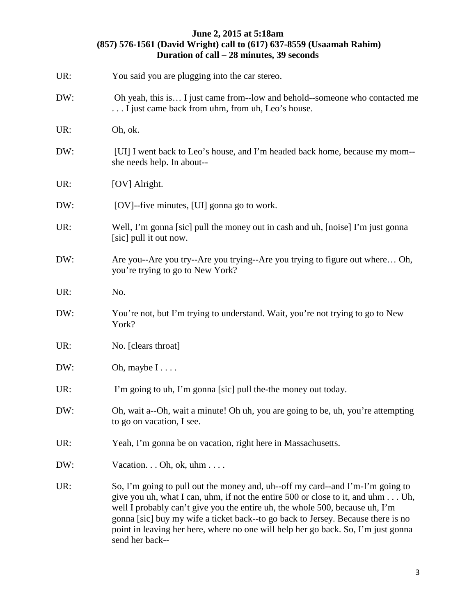| UR: | You said you are plugging into the car stereo.                                                                                                                                                                                                                                                                                                                                                                                               |
|-----|----------------------------------------------------------------------------------------------------------------------------------------------------------------------------------------------------------------------------------------------------------------------------------------------------------------------------------------------------------------------------------------------------------------------------------------------|
| DW: | Oh yeah, this is I just came from-low and behold-someone who contacted me<br>I just came back from uhm, from uh, Leo's house.                                                                                                                                                                                                                                                                                                                |
| UR: | Oh, ok.                                                                                                                                                                                                                                                                                                                                                                                                                                      |
| DW: | [UI] I went back to Leo's house, and I'm headed back home, because my mom--<br>she needs help. In about--                                                                                                                                                                                                                                                                                                                                    |
| UR: | [OV] Alright.                                                                                                                                                                                                                                                                                                                                                                                                                                |
| DW: | [OV]--five minutes, [UI] gonna go to work.                                                                                                                                                                                                                                                                                                                                                                                                   |
| UR: | Well, I'm gonna [sic] pull the money out in cash and uh, [noise] I'm just gonna<br>[sic] pull it out now.                                                                                                                                                                                                                                                                                                                                    |
| DW: | Are you--Are you try--Are you trying--Are you trying to figure out where Oh,<br>you're trying to go to New York?                                                                                                                                                                                                                                                                                                                             |
| UR: | No.                                                                                                                                                                                                                                                                                                                                                                                                                                          |
| DW: | You're not, but I'm trying to understand. Wait, you're not trying to go to New<br>York?                                                                                                                                                                                                                                                                                                                                                      |
| UR: | No. [clears throat]                                                                                                                                                                                                                                                                                                                                                                                                                          |
| DW: | Oh, maybe $I \ldots$ .                                                                                                                                                                                                                                                                                                                                                                                                                       |
| UR: | I'm going to uh, I'm gonna [sic] pull the-the money out today.                                                                                                                                                                                                                                                                                                                                                                               |
| DW: | Oh, wait a--Oh, wait a minute! Oh uh, you are going to be, uh, you're attempting<br>to go on vacation, I see.                                                                                                                                                                                                                                                                                                                                |
| UR: | Yeah, I'm gonna be on vacation, right here in Massachusetts.                                                                                                                                                                                                                                                                                                                                                                                 |
| DW: | Vacation. $\ldots$ Oh, ok, uhm $\ldots$ .                                                                                                                                                                                                                                                                                                                                                                                                    |
| UR: | So, I'm going to pull out the money and, uh--off my card--and I'm-I'm going to<br>give you uh, what I can, uhm, if not the entire 500 or close to it, and uhm Uh,<br>well I probably can't give you the entire uh, the whole 500, because uh, I'm<br>gonna [sic] buy my wife a ticket back-to go back to Jersey. Because there is no<br>point in leaving her here, where no one will help her go back. So, I'm just gonna<br>send her back-- |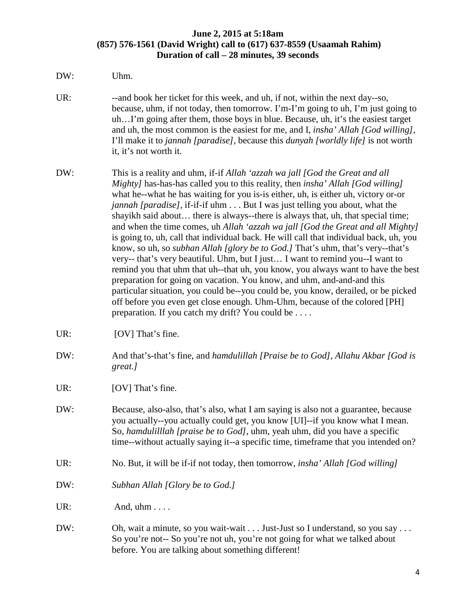- DW: Uhm. UR: --and book her ticket for this week, and uh, if not, within the next day-so, because, uhm, if not today, then tomorrow. I'm-I'm going to uh, I'm just going to uh…I'm going after them, those boys in blue. Because, uh, it's the easiest target and uh, the most common is the easiest for me, and I, *insha' Allah [God willing]*, I'll make it to *jannah [paradise],* because this *dunyah [worldly life]* is not worth it, it's not worth it. DW: This is a reality and uhm, if-if *Allah 'azzah wa jall [God the Great and all Mighty]* has-has-has called you to this reality, then *insha' Allah [God willing]* what he--what he has waiting for you is-is either, uh, is either uh, victory or-or *jannah [paradise]*, if-if-if uhm . . . But I was just telling you about, what the shayikh said about… there is always--there is always that, uh, that special time; and when the time comes, uh *Allah 'azzah wa jall [God the Great and all Mighty]* is going to, uh, call that individual back. He will call that individual back, uh, you know, so uh, so *subhan Allah [glory be to God.]* That's uhm, that's very--that's very-- that's very beautiful. Uhm, but I just… I want to remind you--I want to remind you that uhm that uh--that uh, you know, you always want to have the best preparation for going on vacation. You know, and uhm, and-and-and this particular situation, you could be--you could be, you know, derailed, or be picked off before you even get close enough. Uhm-Uhm, because of the colored [PH] preparation. If you catch my drift? You could be . . . . UR: [OV] That's fine. DW: And that's-that's fine, and *hamdulillah [Praise be to God], Allahu Akbar [God is great.]* UR: [OV] That's fine. DW: Because, also-also, that's also, what I am saying is also not a guarantee, because you actually--you actually could get, you know [UI]--if you know what I mean. So, *hamdulilllah [praise be to God],* uhm, yeah uhm, did you have a specific time--without actually saying it--a specific time, timeframe that you intended on? UR: No. But, it will be if-if not today, then tomorrow, *insha' Allah [God willing]*
- DW: *Subhan Allah [Glory be to God.]*

UR: And,  $uhm \ldots$ .

DW: Oh, wait a minute, so you wait-wait . . . Just-Just so I understand, so you say . . . So you're not-- So you're not uh, you're not going for what we talked about before. You are talking about something different!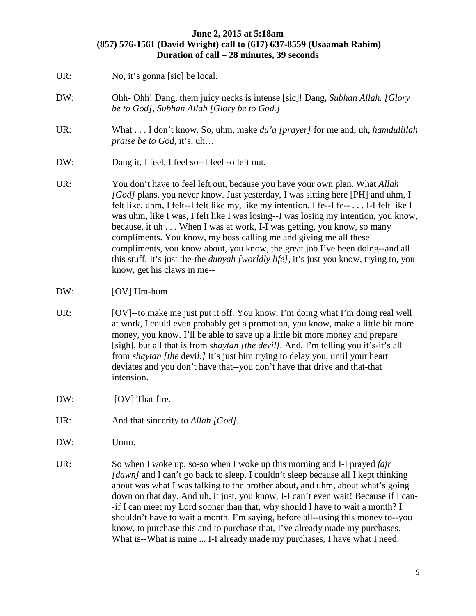- UR: No, it's gonna [sic] be local. DW: Ohh- Ohh! Dang, them juicy necks is intense [sic]! Dang, *Subhan Allah. [Glory be to God], Subhan Allah [Glory be to God.]* UR: What . . . I don't know. So, uhm, make *du'a [prayer]* for me and, uh, *hamdulillah praise be to God,* it's, uh… DW: Dang it, I feel, I feel so--I feel so left out. UR: You don't have to feel left out, because you have your own plan. What *Allah [God]* plans, you never know. Just yesterday, I was sitting here [PH] and uhm, I felt like, uhm, I felt--I felt like my, like my intention, I fe--I fe-- . . . I-I felt like I was uhm, like I was, I felt like I was losing--I was losing my intention, you know, because, it uh . . . When I was at work, I-I was getting, you know, so many compliments. You know, my boss calling me and giving me all these compliments, you know about, you know, the great job I've been doing--and all this stuff. It's just the-the *dunyah [worldly life],* it's just you know, trying to, you know, get his claws in me--
- DW: [OV] Um-hum
- UR: [OV]--to make me just put it off. You know, I'm doing what I'm doing real well at work, I could even probably get a promotion, you know, make a little bit more money, you know. I'll be able to save up a little bit more money and prepare [sigh], but all that is from *shaytan [the devil].* And, I'm telling you it's-it's all from *shaytan [the* devi*l.]* It's just him trying to delay you, until your heart deviates and you don't have that--you don't have that drive and that-that intension.
- DW: [OV] That fire.
- UR: And that sincerity to *Allah [God]*.
- DW: Umm.
- UR: So when I woke up, so-so when I woke up this morning and I-I prayed *fajr [dawn]* and I can't go back to sleep. I couldn't sleep because all I kept thinking about was what I was talking to the brother about, and uhm, about what's going down on that day. And uh, it just, you know, I-I can't even wait! Because if I can- -if I can meet my Lord sooner than that, why should I have to wait a month? I shouldn't have to wait a month. I'm saying, before all--using this money to--you know, to purchase this and to purchase that, I've already made my purchases. What is--What is mine ... I-I already made my purchases, I have what I need.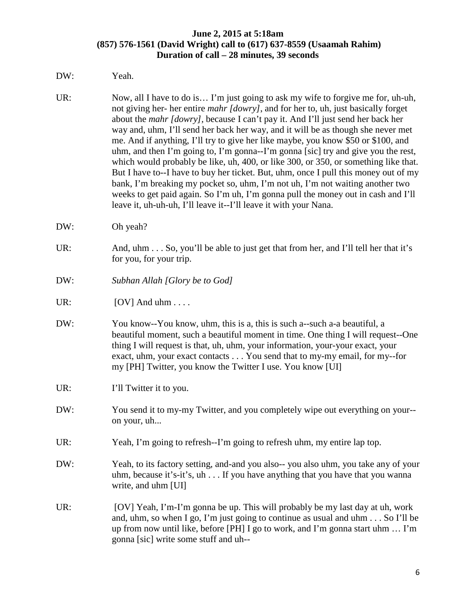#### DW: Yeah.

- UR: Now, all I have to do is... I'm just going to ask my wife to forgive me for, uh-uh, not giving her- her entire *mahr [dowry]*, and for her to, uh, just basically forget about the *mahr [dowry],* because I can't pay it. And I'll just send her back her way and, uhm, I'll send her back her way, and it will be as though she never met me. And if anything, I'll try to give her like maybe, you know \$50 or \$100, and uhm, and then I'm going to, I'm gonna--I'm gonna [sic] try and give you the rest, which would probably be like, uh, 400, or like 300, or 350, or something like that. But I have to--I have to buy her ticket. But, uhm, once I pull this money out of my bank, I'm breaking my pocket so, uhm, I'm not uh, I'm not waiting another two weeks to get paid again. So I'm uh, I'm gonna pull the money out in cash and I'll leave it, uh-uh-uh, I'll leave it--I'll leave it with your Nana.
- DW: Oh yeah?
- UR: And, uhm . . . So, you'll be able to just get that from her, and I'll tell her that it's for you, for your trip.
- DW: *Subhan Allah [Glory be to God]*
- $UR:$  [OV] And uhm ....
- DW: You know--You know, uhm, this is a, this is such a-such a-a beautiful, a beautiful moment, such a beautiful moment in time. One thing I will request--One thing I will request is that, uh, uhm, your information, your-your exact, your exact, uhm, your exact contacts . . . You send that to my-my email, for my--for my [PH] Twitter, you know the Twitter I use. You know [UI]
- UR: I'll Twitter it to you.
- DW: You send it to my-my Twitter, and you completely wipe out everything on your- on your, uh...
- UR: Yeah, I'm going to refresh--I'm going to refresh uhm, my entire lap top.
- DW: Yeah, to its factory setting, and-and you also-- you also uhm, you take any of your uhm, because it's-it's, uh . . . If you have anything that you have that you wanna write, and uhm [UI]
- UR: [OV] Yeah, I'm-I'm gonna be up. This will probably be my last day at uh, work and, uhm, so when I go, I'm just going to continue as usual and uhm . . . So I'll be up from now until like, before [PH] I go to work, and I'm gonna start uhm … I'm gonna [sic] write some stuff and uh--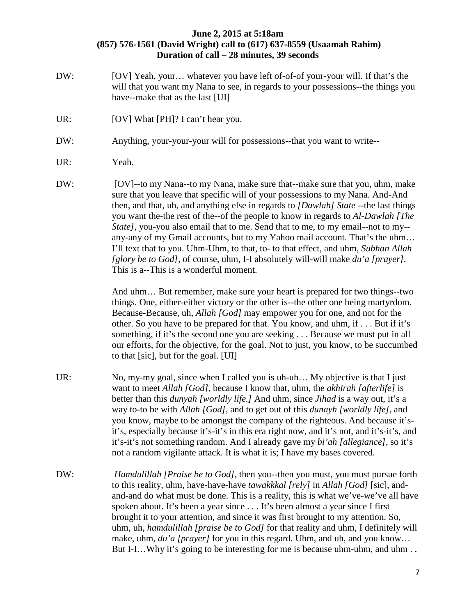- DW: [OV] Yeah, your... whatever you have left of-of-of your-your will. If that's the will that you want my Nana to see, in regards to your possessions--the things you have--make that as the last [UI]
- UR: [OV] What [PH]? I can't hear you.
- DW: Anything, your-your-your will for possessions--that you want to write--
- UR: Yeah.
- DW: [OV]--to my Nana--to my Nana, make sure that--make sure that you, uhm, make sure that you leave that specific will of your possessions to my Nana. And-And then, and that, uh, and anything else in regards to *[Dawlah] State --*the last things you want the-the rest of the--of the people to know in regards to *Al-Dawlah [The State],* you-you also email that to me. Send that to me, to my email--not to my- any-any of my Gmail accounts, but to my Yahoo mail account. That's the uhm… I'll text that to you. Uhm-Uhm, to that, to- to that effect, and uhm, *Subhan Allah [glory be to God],* of course, uhm, I-I absolutely will-will make *du'a [prayer].*  This is a--This is a wonderful moment.

And uhm… But remember, make sure your heart is prepared for two things--two things. One, either-either victory or the other is--the other one being martyrdom. Because-Because, uh, *Allah [God]* may empower you for one, and not for the other. So you have to be prepared for that. You know, and uhm, if . . . But if it's something, if it's the second one you are seeking . . . Because we must put in all our efforts, for the objective, for the goal. Not to just, you know, to be succumbed to that [sic], but for the goal. [UI]

- UR: No, my-my goal, since when I called you is uh-uh... My objective is that I just want to meet *Allah [God],* because I know that, uhm, the *akhirah [afterlife]* is better than this *dunyah [worldly life.]* And uhm, since *Jihad* is a way out, it's a way to-to be with *Allah [God]*, and to get out of this *dunayh [worldly life],* and you know, maybe to be amongst the company of the righteous. And because it'sit's, especially because it's-it's in this era right now, and it's not, and it's-it's, and it's-it's not something random. And I already gave my *bi'ah [allegiance]*, so it's not a random vigilante attack. It is what it is; I have my bases covered.
- DW: *Hamdulillah [Praise be to God]*, then you--then you must, you must pursue forth to this reality, uhm, have-have-have *tawakkkal [rely]* in *Allah [God]* [sic], andand-and do what must be done. This is a reality, this is what we've-we've all have spoken about. It's been a year since . . . It's been almost a year since I first brought it to your attention, and since it was first brought to my attention. So, uhm, uh, *hamdulillah [praise be to God]* for that reality and uhm, I definitely will make, uhm, *du'a [prayer]* for you in this regard. Uhm, and uh, and you know... But I-I... Why it's going to be interesting for me is because uhm-uhm, and uhm ...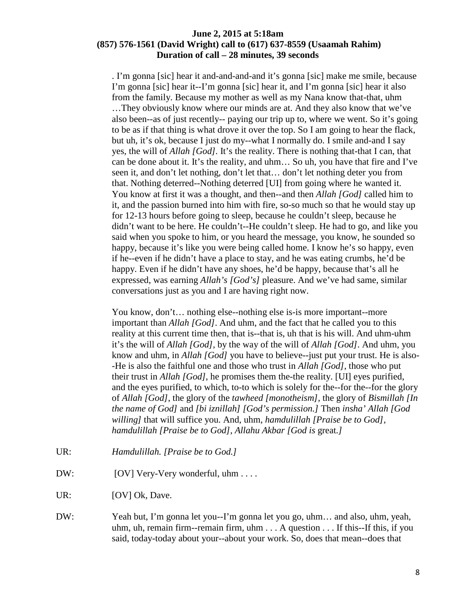. I'm gonna [sic] hear it and-and-and-and it's gonna [sic] make me smile, because I'm gonna [sic] hear it--I'm gonna [sic] hear it, and I'm gonna [sic] hear it also from the family. Because my mother as well as my Nana know that-that, uhm …They obviously know where our minds are at. And they also know that we've also been--as of just recently-- paying our trip up to, where we went. So it's going to be as if that thing is what drove it over the top. So I am going to hear the flack, but uh, it's ok, because I just do my--what I normally do. I smile and-and I say yes, the will of *Allah [God].* It's the reality. There is nothing that-that I can, that can be done about it. It's the reality, and uhm… So uh, you have that fire and I've seen it, and don't let nothing, don't let that… don't let nothing deter you from that. Nothing deterred--Nothing deterred [UI] from going where he wanted it. You know at first it was a thought, and then--and then *Allah [God]* called him to it, and the passion burned into him with fire, so-so much so that he would stay up for 12-13 hours before going to sleep, because he couldn't sleep, because he didn't want to be here. He couldn't--He couldn't sleep. He had to go, and like you said when you spoke to him, or you heard the message, you know, he sounded so happy, because it's like you were being called home. I know he's so happy, even if he--even if he didn't have a place to stay, and he was eating crumbs, he'd be happy. Even if he didn't have any shoes, he'd be happy, because that's all he expressed, was earning *Allah's [God's]* pleasure. And we've had same, similar conversations just as you and I are having right now.

You know, don't… nothing else--nothing else is-is more important--more important than *Allah [God]*. And uhm, and the fact that he called you to this reality at this current time then, that is--that is, uh that is his will. And uhm-uhm it's the will of *Allah [God],* by the way of the will of *Allah [God]*. And uhm, you know and uhm, in *Allah [God]* you have to believe--just put your trust. He is also- -He is also the faithful one and those who trust in *Allah [God]*, those who put their trust in *Allah [God]*, he promises them the-the reality. [UI] eyes purified, and the eyes purified, to which, to-to which is solely for the--for the--for the glory of *Allah [God]*, the glory of the *tawheed [monotheism],* the glory of *Bismillah [In the name of God]* and *[bi iznillah] [God's permission.]* Then *insha' Allah [God willing]* that will suffice you. And, uhm, *hamdulillah [Praise be to God], hamdulillah [Praise be to God], Allahu Akbar [God is* great*.]*

- UR: *Hamdulillah. [Praise be to God.]*
- DW: [OV] Very-Very wonderful, uhm . . . .
- UR: [OV] Ok, Dave.
- DW: Yeah but, I'm gonna let you--I'm gonna let you go, uhm… and also, uhm, yeah, uhm, uh, remain firm--remain firm, uhm . . . A question . . . If this--If this, if you said, today-today about your--about your work. So, does that mean--does that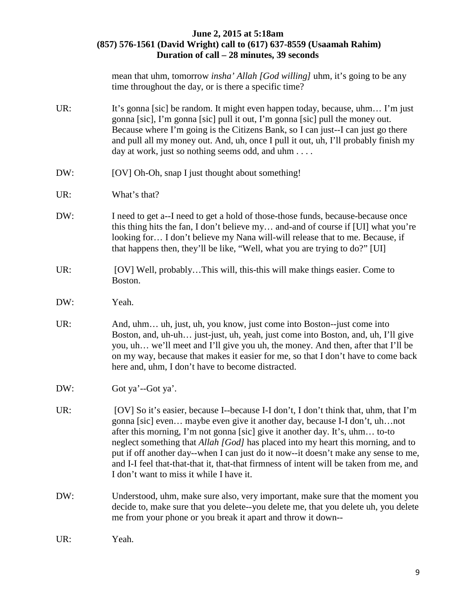mean that uhm, tomorrow *insha' Allah [God willing]* uhm*,* it's going to be any time throughout the day, or is there a specific time?

| UR: | It's gonna [sic] be random. It might even happen today, because, uhm I'm just<br>gonna [sic], I'm gonna [sic] pull it out, I'm gonna [sic] pull the money out.<br>Because where I'm going is the Citizens Bank, so I can just-I can just go there<br>and pull all my money out. And, uh, once I pull it out, uh, I'll probably finish my<br>day at work, just so nothing seems odd, and uhm                                                                                                                                                                                |
|-----|----------------------------------------------------------------------------------------------------------------------------------------------------------------------------------------------------------------------------------------------------------------------------------------------------------------------------------------------------------------------------------------------------------------------------------------------------------------------------------------------------------------------------------------------------------------------------|
| DW: | [OV] Oh-Oh, snap I just thought about something!                                                                                                                                                                                                                                                                                                                                                                                                                                                                                                                           |
| UR: | What's that?                                                                                                                                                                                                                                                                                                                                                                                                                                                                                                                                                               |
| DW: | I need to get a--I need to get a hold of those-those funds, because-because once<br>this thing hits the fan, I don't believe my and-and of course if [UI] what you're<br>looking for I don't believe my Nana will-will release that to me. Because, if<br>that happens then, they'll be like, "Well, what you are trying to do?" [UI]                                                                                                                                                                                                                                      |
| UR: | [OV] Well, probablyThis will, this-this will make things easier. Come to<br>Boston.                                                                                                                                                                                                                                                                                                                                                                                                                                                                                        |
| DW: | Yeah.                                                                                                                                                                                                                                                                                                                                                                                                                                                                                                                                                                      |
| UR: | And, uhm uh, just, uh, you know, just come into Boston--just come into<br>Boston, and, uh-uh just-just, uh, yeah, just come into Boston, and, uh, I'll give<br>you, uh we'll meet and I'll give you uh, the money. And then, after that I'll be<br>on my way, because that makes it easier for me, so that I don't have to come back<br>here and, uhm, I don't have to become distracted.                                                                                                                                                                                  |
| DW: | Got ya'--Got ya'.                                                                                                                                                                                                                                                                                                                                                                                                                                                                                                                                                          |
| UR: | [OV] So it's easier, because I--because I-I don't, I don't think that, uhm, that I'm<br>gonna [sic] even maybe even give it another day, because I-I don't, uhnot<br>after this morning, I'm not gonna [sic] give it another day. It's, uhm to-to<br>neglect something that <i>Allah [God]</i> has placed into my heart this morning, and to<br>put if off another day--when I can just do it now--it doesn't make any sense to me,<br>and I-I feel that-that-that it, that-that firmness of intent will be taken from me, and<br>I don't want to miss it while I have it. |
| DW: | Understood, uhm, make sure also, very important, make sure that the moment you<br>decide to, make sure that you delete--you delete me, that you delete uh, you delete<br>me from your phone or you break it apart and throw it down--                                                                                                                                                                                                                                                                                                                                      |
| UR: | Yeah.                                                                                                                                                                                                                                                                                                                                                                                                                                                                                                                                                                      |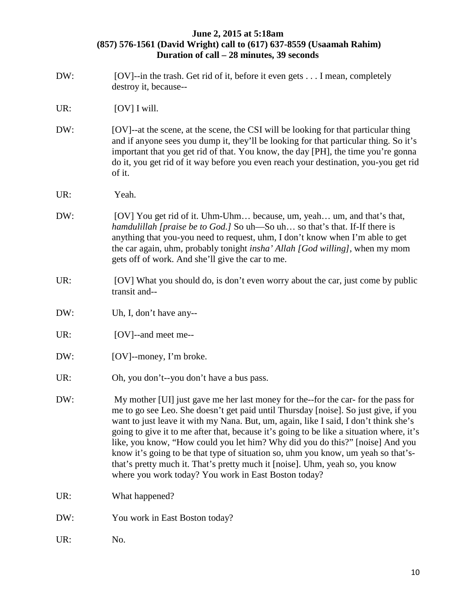- DW: [OV]--in the trash. Get rid of it, before it even gets . . . I mean, completely destroy it, because--
- UR: [OV] I will.
- DW: [OV]--at the scene, at the scene, the CSI will be looking for that particular thing and if anyone sees you dump it, they'll be looking for that particular thing. So it's important that you get rid of that. You know, the day [PH], the time you're gonna do it, you get rid of it way before you even reach your destination, you-you get rid of it.
- UR: Yeah.
- DW: [OV] You get rid of it. Uhm-Uhm... because, um, yeah... um, and that's that, *hamdulillah [praise be to God.]* So uh—So uh… so that's that. If-If there is anything that you-you need to request, uhm, I don't know when I'm able to get the car again, uhm, probably tonight *insha' Allah [God willing]*, when my mom gets off of work. And she'll give the car to me.
- UR: [OV] What you should do, is don't even worry about the car, just come by public transit and--
- DW: Uh, I, don't have any--
- UR: [OV]--and meet me--
- DW: [OV]--money, I'm broke.
- UR: Oh, you don't--you don't have a bus pass.
- DW: My mother [UI] just gave me her last money for the--for the car- for the pass for me to go see Leo. She doesn't get paid until Thursday [noise]. So just give, if you want to just leave it with my Nana. But, um, again, like I said, I don't think she's going to give it to me after that, because it's going to be like a situation where, it's like, you know, "How could you let him? Why did you do this?" [noise] And you know it's going to be that type of situation so, uhm you know, um yeah so that'sthat's pretty much it. That's pretty much it [noise]. Uhm, yeah so, you know where you work today? You work in East Boston today?
- UR: What happened?
- DW: You work in East Boston today?
- UR: No.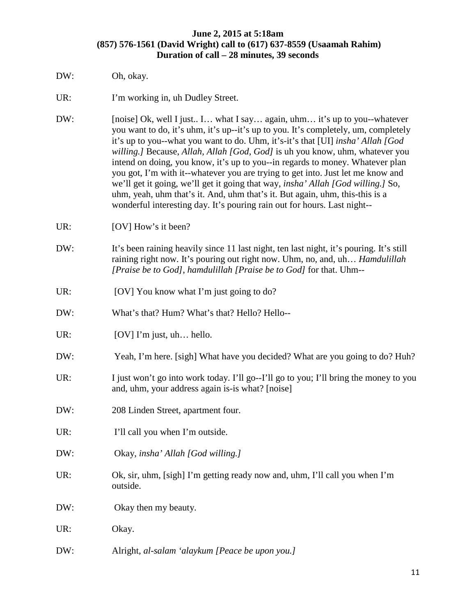- DW: Oh, okay.
- UR: I'm working in, uh Dudley Street.
- DW: [noise] Ok, well I just.. I… what I say… again, uhm… it's up to you--whatever you want to do, it's uhm, it's up--it's up to you. It's completely, um, completely it's up to you--what you want to do. Uhm, it's-it's that [UI] *insha' Allah [God willing.]* Because, *Allah*, *Allah [God, God]* is uh you know, uhm, whatever you intend on doing, you know, it's up to you--in regards to money. Whatever plan you got, I'm with it--whatever you are trying to get into. Just let me know and we'll get it going, we'll get it going that way, *insha' Allah [God willing.]* So, uhm, yeah, uhm that's it. And, uhm that's it. But again, uhm, this-this is a wonderful interesting day. It's pouring rain out for hours. Last night--
- UR: [OV] How's it been?
- DW: It's been raining heavily since 11 last night, ten last night, it's pouring. It's still raining right now. It's pouring out right now. Uhm, no, and, uh… *Hamdulillah [Praise be to God]*, *hamdulillah [Praise be to God]* for that. Uhm--
- UR: [OV] You know what I'm just going to do?
- DW: What's that? Hum? What's that? Hello? Hello--
- UR: [OV] I'm just, uh... hello.
- DW: Yeah, I'm here. [sigh] What have you decided? What are you going to do? Huh?
- UR: I just won't go into work today. I'll go--I'll go to you; I'll bring the money to you and, uhm, your address again is-is what? [noise]
- DW: 208 Linden Street, apartment four.
- UR: I'll call you when I'm outside.
- DW: Okay, *insha' Allah [God willing.]*
- UR: Ok, sir, uhm, [sigh] I'm getting ready now and, uhm, I'll call you when I'm outside.
- DW: Okay then my beauty.
- UR: Okay.
- DW: Alright*, al-salam 'alaykum [Peace be upon you.]*